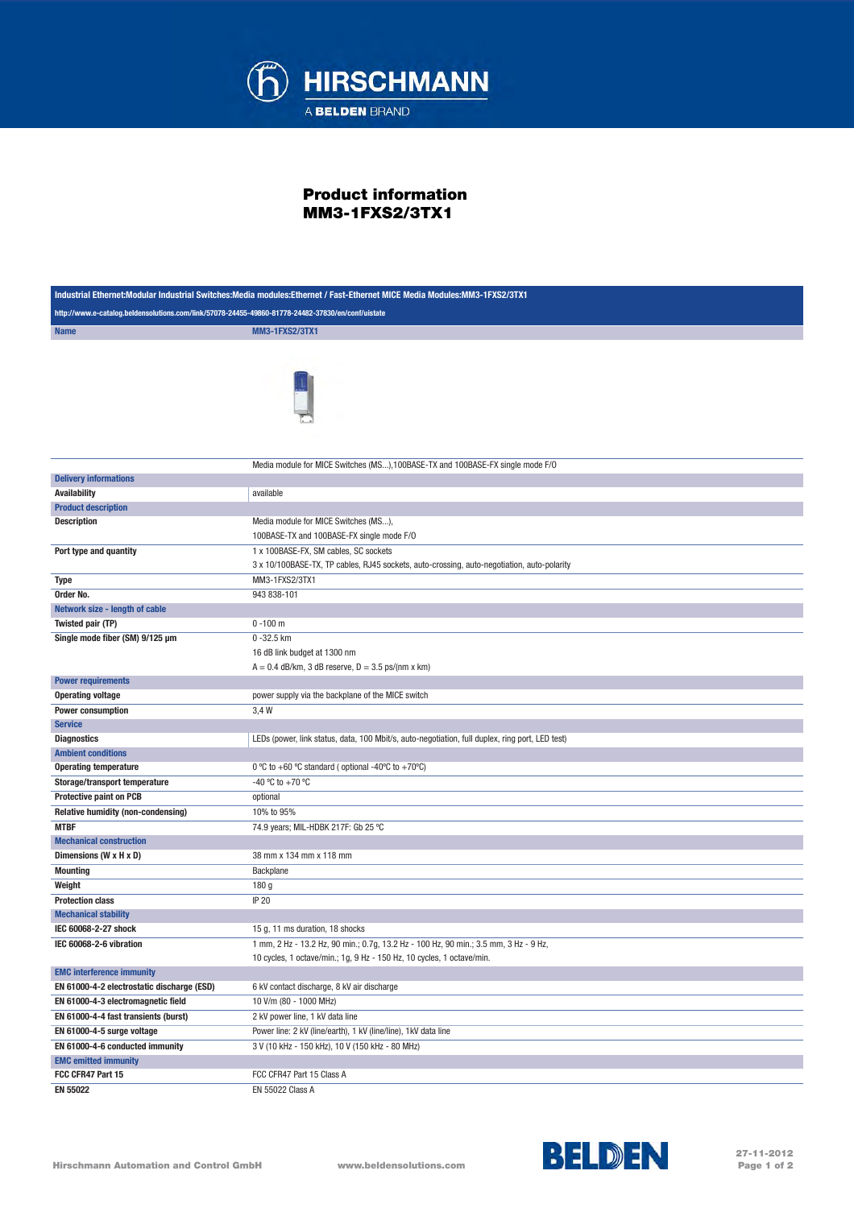

## Product information MM3-1FXS2/3TX1

| Industrial Ethernet:Modular Industrial Switches:Media modules:Ethernet / Fast-Ethernet MICE Media Modules:MM3-1FXS2/3TX1 |                                                                                                                                                               |
|--------------------------------------------------------------------------------------------------------------------------|---------------------------------------------------------------------------------------------------------------------------------------------------------------|
| http://www.e-catalog.beldensolutions.com/link/57078-24455-49860-81778-24482-37830/en/conf/uistate                        |                                                                                                                                                               |
| <b>Name</b>                                                                                                              | <b>MM3-1FXS2/3TX1</b>                                                                                                                                         |
|                                                                                                                          |                                                                                                                                                               |
|                                                                                                                          |                                                                                                                                                               |
|                                                                                                                          | Media module for MICE Switches (MS), 100BASE-TX and 100BASE-FX single mode F/O                                                                                |
| <b>Delivery informations</b>                                                                                             |                                                                                                                                                               |
| <b>Availability</b>                                                                                                      | available                                                                                                                                                     |
| <b>Product description</b>                                                                                               |                                                                                                                                                               |
| <b>Description</b>                                                                                                       | Media module for MICE Switches (MS),                                                                                                                          |
|                                                                                                                          | 100BASE-TX and 100BASE-FX single mode F/O                                                                                                                     |
| Port type and quantity                                                                                                   | 1 x 100BASE-FX, SM cables, SC sockets                                                                                                                         |
|                                                                                                                          | 3 x 10/100BASE-TX, TP cables, RJ45 sockets, auto-crossing, auto-negotiation, auto-polarity                                                                    |
| <b>Type</b>                                                                                                              | MM3-1FXS2/3TX1                                                                                                                                                |
| Order No.                                                                                                                | 943 838-101                                                                                                                                                   |
| Network size - length of cable                                                                                           |                                                                                                                                                               |
| Twisted pair (TP)                                                                                                        | $0 - 100$ m                                                                                                                                                   |
| Single mode fiber (SM) 9/125 µm                                                                                          | 0-32.5 km                                                                                                                                                     |
|                                                                                                                          | 16 dB link budget at 1300 nm                                                                                                                                  |
|                                                                                                                          | $A = 0.4$ dB/km, 3 dB reserve, $D = 3.5$ ps/(nm x km)                                                                                                         |
| <b>Power requirements</b>                                                                                                |                                                                                                                                                               |
| <b>Operating voltage</b>                                                                                                 | power supply via the backplane of the MICE switch                                                                                                             |
| <b>Power consumption</b>                                                                                                 | 3,4 W                                                                                                                                                         |
| <b>Service</b>                                                                                                           |                                                                                                                                                               |
| <b>Diagnostics</b><br><b>Ambient conditions</b>                                                                          | LEDs (power, link status, data, 100 Mbit/s, auto-negotiation, full duplex, ring port, LED test)                                                               |
|                                                                                                                          | 0 °C to +60 °C standard (optional -40°C to +70°C)                                                                                                             |
| <b>Operating temperature</b>                                                                                             |                                                                                                                                                               |
| Storage/transport temperature                                                                                            | -40 °C to +70 °C                                                                                                                                              |
| <b>Protective paint on PCB</b>                                                                                           | optional                                                                                                                                                      |
| Relative humidity (non-condensing)                                                                                       | 10% to 95%                                                                                                                                                    |
| <b>MTBF</b>                                                                                                              | 74.9 years; MIL-HDBK 217F: Gb 25 °C                                                                                                                           |
| <b>Mechanical construction</b>                                                                                           |                                                                                                                                                               |
| Dimensions (W x H x D)                                                                                                   | 38 mm x 134 mm x 118 mm                                                                                                                                       |
| <b>Mounting</b>                                                                                                          | Backplane                                                                                                                                                     |
| Weight                                                                                                                   | 180 g                                                                                                                                                         |
| <b>Protection class</b>                                                                                                  | <b>IP 20</b>                                                                                                                                                  |
| <b>Mechanical stability</b>                                                                                              |                                                                                                                                                               |
| IEC 60068-2-27 shock                                                                                                     | 15 g, 11 ms duration, 18 shocks                                                                                                                               |
| IEC 60068-2-6 vibration                                                                                                  | 1 mm, 2 Hz - 13.2 Hz, 90 min.; 0.7g, 13.2 Hz - 100 Hz, 90 min.; 3.5 mm, 3 Hz - 9 Hz,<br>10 cycles, 1 octave/min.; 1g, 9 Hz - 150 Hz, 10 cycles, 1 octave/min. |
| <b>EMC interference immunity</b>                                                                                         |                                                                                                                                                               |
| EN 61000-4-2 electrostatic discharge (ESD)                                                                               | 6 kV contact discharge, 8 kV air discharge                                                                                                                    |
| EN 61000-4-3 electromagnetic field                                                                                       | 10 V/m (80 - 1000 MHz)                                                                                                                                        |
| EN 61000-4-4 fast transients (burst)                                                                                     | 2 kV power line, 1 kV data line                                                                                                                               |
| EN 61000-4-5 surge voltage                                                                                               | Power line: 2 kV (line/earth), 1 kV (line/line), 1 kV data line                                                                                               |
|                                                                                                                          |                                                                                                                                                               |
| EN 61000-4-6 conducted immunity<br><b>EMC emitted immunity</b>                                                           | 3 V (10 kHz - 150 kHz), 10 V (150 kHz - 80 MHz)                                                                                                               |
| FCC CFR47 Part 15                                                                                                        | FCC CFR47 Part 15 Class A                                                                                                                                     |
| EN 55022                                                                                                                 | EN 55022 Class A                                                                                                                                              |
|                                                                                                                          |                                                                                                                                                               |